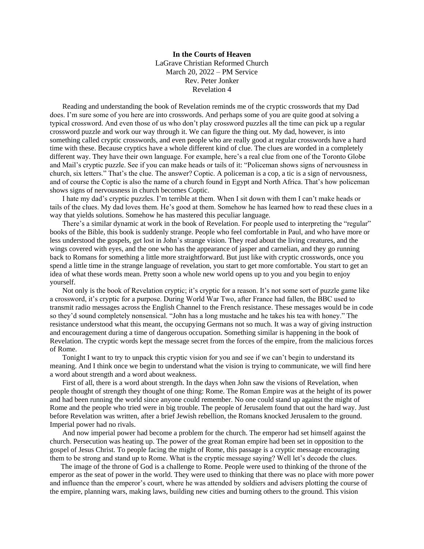**In the Courts of Heaven** LaGrave Christian Reformed Church March 20, 2022 – PM Service Rev. Peter Jonker Revelation 4

Reading and understanding the book of Revelation reminds me of the cryptic crosswords that my Dad does. I'm sure some of you here are into crosswords. And perhaps some of you are quite good at solving a typical crossword. And even those of us who don't play crossword puzzles all the time can pick up a regular crossword puzzle and work our way through it. We can figure the thing out. My dad, however, is into something called cryptic crosswords, and even people who are really good at regular crosswords have a hard time with these. Because cryptics have a whole different kind of clue. The clues are worded in a completely different way. They have their own language. For example, here's a real clue from one of the Toronto Globe and Mail's cryptic puzzle. See if you can make heads or tails of it: "Policeman shows signs of nervousness in church, six letters." That's the clue. The answer? Coptic. A policeman is a cop, a tic is a sign of nervousness, and of course the Coptic is also the name of a church found in Egypt and North Africa. That's how policeman shows signs of nervousness in church becomes Coptic.

I hate my dad's cryptic puzzles. I'm terrible at them. When I sit down with them I can't make heads or tails of the clues. My dad loves them. He's good at them. Somehow he has learned how to read these clues in a way that yields solutions. Somehow he has mastered this peculiar language.

There's a similar dynamic at work in the book of Revelation. For people used to interpreting the "regular" books of the Bible, this book is suddenly strange. People who feel comfortable in Paul, and who have more or less understood the gospels, get lost in John's strange vision. They read about the living creatures, and the wings covered with eyes, and the one who has the appearance of jasper and carnelian, and they go running back to Romans for something a little more straightforward. But just like with cryptic crosswords, once you spend a little time in the strange language of revelation, you start to get more comfortable. You start to get an idea of what these words mean. Pretty soon a whole new world opens up to you and you begin to enjoy yourself.

Not only is the book of Revelation cryptic; it's cryptic for a reason. It's not some sort of puzzle game like a crossword, it's cryptic for a purpose. During World War Two, after France had fallen, the BBC used to transmit radio messages across the English Channel to the French resistance. These messages would be in code so they'd sound completely nonsensical. "John has a long mustache and he takes his tea with honey." The resistance understood what this meant, the occupying Germans not so much. It was a way of giving instruction and encouragement during a time of dangerous occupation. Something similar is happening in the book of Revelation. The cryptic words kept the message secret from the forces of the empire, from the malicious forces of Rome.

Tonight I want to try to unpack this cryptic vision for you and see if we can't begin to understand its meaning. And I think once we begin to understand what the vision is trying to communicate, we will find here a word about strength and a word about weakness.

First of all, there is a word about strength. In the days when John saw the visions of Revelation, when people thought of strength they thought of one thing: Rome. The Roman Empire was at the height of its power and had been running the world since anyone could remember. No one could stand up against the might of Rome and the people who tried were in big trouble. The people of Jerusalem found that out the hard way. Just before Revelation was written, after a brief Jewish rebellion, the Romans knocked Jerusalem to the ground. Imperial power had no rivals.

And now imperial power had become a problem for the church. The emperor had set himself against the church. Persecution was heating up. The power of the great Roman empire had been set in opposition to the gospel of Jesus Christ. To people facing the might of Rome, this passage is a cryptic message encouraging them to be strong and stand up to Rome. What is the cryptic message saying? Well let's decode the clues.

 The image of the throne of God is a challenge to Rome. People were used to thinking of the throne of the emperor as the seat of power in the world. They were used to thinking that there was no place with more power and influence than the emperor's court, where he was attended by soldiers and advisers plotting the course of the empire, planning wars, making laws, building new cities and burning others to the ground. This vision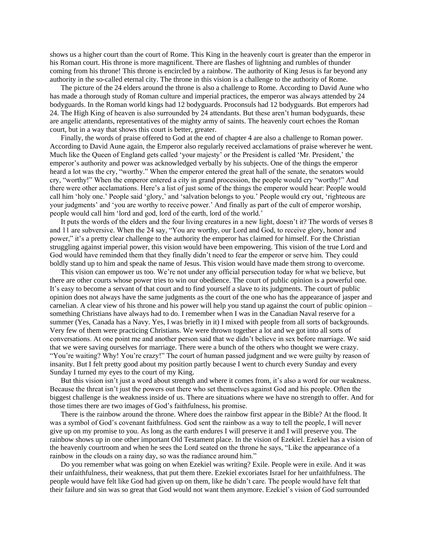shows us a higher court than the court of Rome. This King in the heavenly court is greater than the emperor in his Roman court. His throne is more magnificent. There are flashes of lightning and rumbles of thunder coming from his throne! This throne is encircled by a rainbow. The authority of King Jesus is far beyond any authority in the so-called eternal city. The throne in this vision is a challenge to the authority of Rome.

 The picture of the 24 elders around the throne is also a challenge to Rome. According to David Aune who has made a thorough study of Roman culture and imperial practices, the emperor was always attended by 24 bodyguards. In the Roman world kings had 12 bodyguards. Proconsuls had 12 bodyguards. But emperors had 24. The High King of heaven is also surrounded by 24 attendants. But these aren't human bodyguards, these are angelic attendants, representatives of the mighty army of saints. The heavenly court echoes the Roman court, but in a way that shows this court is better, greater.

 Finally, the words of praise offered to God at the end of chapter 4 are also a challenge to Roman power. According to David Aune again, the Emperor also regularly received acclamations of praise wherever he went. Much like the Queen of England gets called 'your majesty' or the President is called 'Mr. President,' the emperor's authority and power was acknowledged verbally by his subjects. One of the things the emperor heard a lot was the cry, "worthy." When the emperor entered the great hall of the senate, the senators would cry, "worthy!" When the emperor entered a city in grand procession, the people would cry "worthy!" And there were other acclamations. Here's a list of just some of the things the emperor would hear: People would call him 'holy one.' People said 'glory,' and 'salvation belongs to you.' People would cry out, 'righteous are your judgments' and 'you are worthy to receive power.' And finally as part of the cult of emperor worship, people would call him 'lord and god, lord of the earth, lord of the world.'

 It puts the words of the elders and the four living creatures in a new light, doesn't it? The words of verses 8 and 11 are subversive. When the 24 say, "You are worthy, our Lord and God, to receive glory, honor and power," it's a pretty clear challenge to the authority the emperor has claimed for himself. For the Christian struggling against imperial power, this vision would have been empowering. This vision of the true Lord and God would have reminded them that they finally didn't need to fear the emperor or serve him. They could boldly stand up to him and speak the name of Jesus. This vision would have made them strong to overcome.

 This vision can empower us too. We're not under any official persecution today for what we believe, but there are other courts whose power tries to win our obedience. The court of public opinion is a powerful one. It's easy to become a servant of that court and to find yourself a slave to its judgments. The court of public opinion does not always have the same judgments as the court of the one who has the appearance of jasper and carnelian. A clear view of his throne and his power will help you stand up against the court of public opinion – something Christians have always had to do. I remember when I was in the Canadian Naval reserve for a summer (Yes, Canada has a Navy. Yes, I was briefly in it) I mixed with people from all sorts of backgrounds. Very few of them were practicing Christians. We were thrown together a lot and we got into all sorts of conversations. At one point me and another person said that we didn't believe in sex before marriage. We said that we were saving ourselves for marriage. There were a bunch of the others who thought we were crazy. "You're waiting? Why! You're crazy!" The court of human passed judgment and we were guilty by reason of insanity. But I felt pretty good about my position partly because I went to church every Sunday and every Sunday I turned my eyes to the court of my King.

But this vision isn't just a word about strength and where it comes from, it's also a word for our weakness. Because the threat isn't just the powers out there who set themselves against God and his people. Often the biggest challenge is the weakness inside of us. There are situations where we have no strength to offer. And for those times there are two images of God's faithfulness, his promise.

 There is the rainbow around the throne. Where does the rainbow first appear in the Bible? At the flood. It was a symbol of God's covenant faithfulness. God sent the rainbow as a way to tell the people, I will never give up on my promise to you. As long as the earth endures I will preserve it and I will preserve you. The rainbow shows up in one other important Old Testament place. In the vision of Ezekiel. Ezekiel has a vision of the heavenly courtroom and when he sees the Lord seated on the throne he says, "Like the appearance of a rainbow in the clouds on a rainy day, so was the radiance around him."

 Do you remember what was going on when Ezekiel was writing? Exile. People were in exile. And it was their unfaithfulness, their weakness, that put them there. Ezekiel excoriates Israel for her unfaithfulness. The people would have felt like God had given up on them, like he didn't care. The people would have felt that their failure and sin was so great that God would not want them anymore. Ezekiel's vision of God surrounded